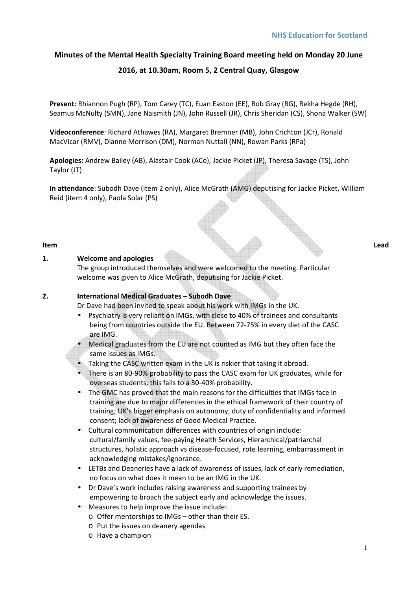# **Minutes of the Mental Health Specialty Training Board meeting held on Monday 20 June**

# **2016, at 10.30am, Room 5, 2 Central Quay, Glasgow**

**Present:** Rhiannon Pugh (RP), Tom Carey (TC), Euan Easton (EE), Rob Gray (RG), Rekha Hegde (RH), Seamus McNulty (SMN), Jane Naismith (JN), John Russell (JR), Chris Sheridan (CS), Shona Walker (SW)

**Videoconference**: Richard Athawes (RA), Margaret Bremner (MB), John Crichton (JCr), Ronald MacVicar (RMV), Dianne Morrison (DM), Norman Nuttall (NN), Rowan Parks (RPa)

**Apologies:** Andrew Bailey (AB), Alastair Cook (ACo), Jackie Picket (JP), Theresa Savage (TS), John Taylor (JT)

**In attendance**: Subodh Dave (item 2 only), Alice McGrath (AMG) deputising for Jackie Picket, William Reid (item 4 only), Paola Solar (PS)

#### **Item Lead**

#### **1. Welcome and apologies**

The group introduced themselves and were welcomed to the meeting. Particular welcome was given to Alice McGrath, deputising for Jackie Picket.

#### **2. International Medical Graduates – Subodh Dave**

Dr Dave had been invited to speak about his work with IMGs in the UK.

- Psychiatry is very reliant on IMGs, with close to 40% of trainees and consultants being from countries outside the EU. Between 72-75% in every diet of the CASC are IMG.
- Medical graduates from the EU are not counted as IMG but they often face the same issues as IMGs.
- Taking the CASC written exam in the UK is riskier that taking it abroad.
- There is an 80-90% probability to pass the CASC exam for UK graduates, while for overseas students, this falls to a 30-40% probability.
- The GMC has proved that the main reasons for the difficulties that IMGs face in training are due to major differences in the ethical framework of their country of training; UK's bigger emphasis on autonomy, duty of confidentiality and informed consent; lack of awareness of Good Medical Practice.
- Cultural communication differences with countries of origin include: cultural/family values, fee-paying Health Services, Hierarchical/patriarchal structures, holistic approach vs disease-focused, rote learning, embarrassment in acknowledging mistakes/ignorance.
- LETBs and Deaneries have a lack of awareness of issues, lack of early remediation, no focus on what does it mean to be an IMG in the UK.
- Dr Dave's work includes raising awareness and supporting trainees by empowering to broach the subject early and acknowledge the issues.
- Measures to help improve the issue include:
	- o Offer mentorships to IMGs other than their ES.
	- o Put the issues on deanery agendas
	- o Have a champion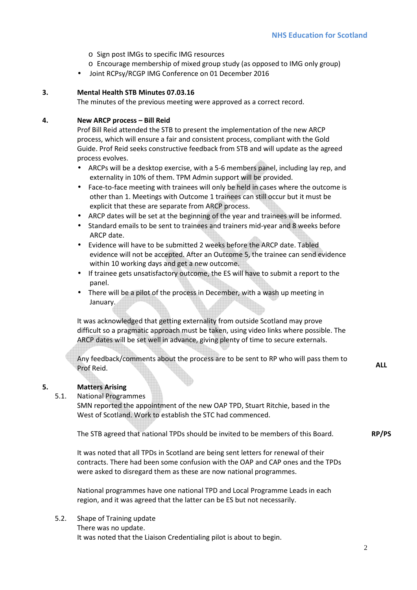- o Sign post IMGs to specific IMG resources
- o Encourage membership of mixed group study (as opposed to IMG only group)
- Joint RCPsy/RCGP IMG Conference on 01 December 2016

#### **3. Mental Health STB Minutes 07.03.16**

The minutes of the previous meeting were approved as a correct record.

#### **4. New ARCP process – Bill Reid**

Prof Bill Reid attended the STB to present the implementation of the new ARCP process, which will ensure a fair and consistent process, compliant with the Gold Guide. Prof Reid seeks constructive feedback from STB and will update as the agreed process evolves.

- ARCPs will be a desktop exercise, with a 5-6 members panel, including lay rep, and externality in 10% of them. TPM Admin support will be provided.
- Face-to-face meeting with trainees will only be held in cases where the outcome is other than 1. Meetings with Outcome 1 trainees can still occur but it must be explicit that these are separate from ARCP process.
- ARCP dates will be set at the beginning of the year and trainees will be informed.
- Standard emails to be sent to trainees and trainers mid-year and 8 weeks before ARCP date.
- Evidence will have to be submitted 2 weeks before the ARCP date. Tabled evidence will not be accepted. After an Outcome 5, the trainee can send evidence within 10 working days and get a new outcome.
- If trainee gets unsatisfactory outcome, the ES will have to submit a report to the panel.
- There will be a pilot of the process in December, with a wash up meeting in January.

It was acknowledged that getting externality from outside Scotland may prove difficult so a pragmatic approach must be taken, using video links where possible. The ARCP dates will be set well in advance, giving plenty of time to secure externals.

Any feedback/comments about the process are to be sent to RP who will pass them to Prof Reid. **ALL** 

# **5. Matters Arising**

#### 5.1. National Programmes

SMN reported the appointment of the new OAP TPD, Stuart Ritchie, based in the West of Scotland. Work to establish the STC had commenced.

The STB agreed that national TPDs should be invited to be members of this Board. **RP/PS** 

It was noted that all TPDs in Scotland are being sent letters for renewal of their contracts. There had been some confusion with the OAP and CAP ones and the TPDs were asked to disregard them as these are now national programmes.

National programmes have one national TPD and Local Programme Leads in each region, and it was agreed that the latter can be ES but not necessarily.

5.2. Shape of Training update There was no update. It was noted that the Liaison Credentialing pilot is about to begin.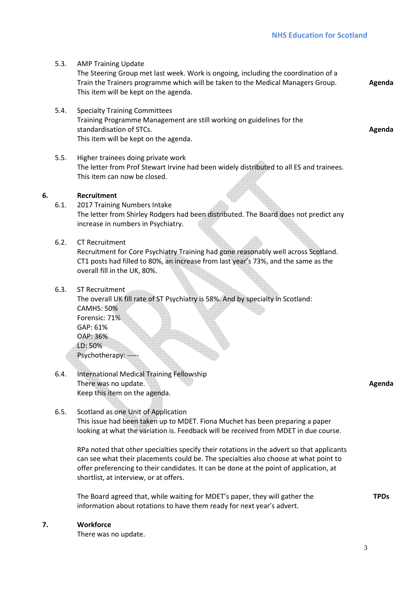- 5.3. AMP Training Update The Steering Group met last week. Work is ongoing, including the coordination of a Train the Trainers programme which will be taken to the Medical Managers Group. This item will be kept on the agenda. **Agenda**
- 5.4. Specialty Training Committees Training Programme Management are still working on guidelines for the standardisation of STCs. This item will be kept on the agenda.
- 5.5. Higher trainees doing private work The letter from Prof Stewart Irvine had been widely distributed to all ES and trainees. This item can now be closed.

### **6. Recruitment**

- 6.1. 2017 Training Numbers Intake The letter from Shirley Rodgers had been distributed. The Board does not predict any increase in numbers in Psychiatry.
- 6.2. CT Recruitment Recruitment for Core Psychiatry Training had gone reasonably well across Scotland. CT1 posts had filled to 80%, an increase from last year's 73%, and the same as the overall fill in the UK, 80%.
- 6.3. ST Recruitment

The overall UK fill rate of ST Psychiatry is 58%. And by specialty in Scotland: CAMHS: 50% Forensic: 71% GAP: 61% OAP: 36% LD: 50% Psychotherapy: --

6.4. International Medical Training Fellowship There was no update. Keep this item on the agenda.

**Agenda** 

**TPDs** 

**Agenda** 

6.5. Scotland as one Unit of Application This issue had been taken up to MDET. Fiona Muchet has been preparing a paper looking at what the variation is. Feedback will be received from MDET in due course.

RPa noted that other specialties specify their rotations in the advert so that applicants can see what their placements could be. The specialties also choose at what point to offer preferencing to their candidates. It can be done at the point of application, at shortlist, at interview, or at offers.

The Board agreed that, while waiting for MDET's paper, they will gather the information about rotations to have them ready for next year's advert.

#### **7. Workforce**

There was no update.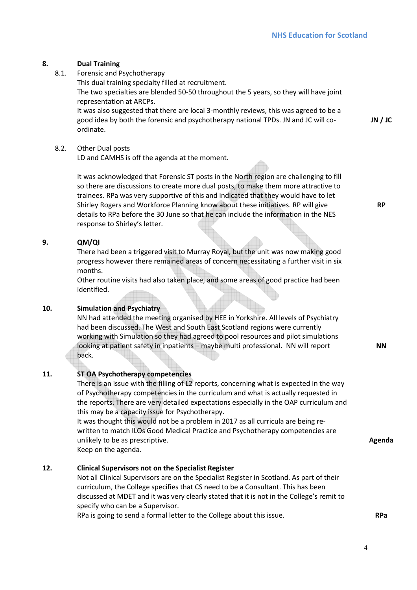# **8. Dual Training**

8.1. Forensic and Psychotherapy

This dual training specialty filled at recruitment. The two specialties are blended 50-50 throughout the 5 years, so they will have joint representation at ARCPs.

It was also suggested that there are local 3-monthly reviews, this was agreed to be a good idea by both the forensic and psychotherapy national TPDs. JN and JC will coordinate.

## 8.2. Other Dual posts

LD and CAMHS is off the agenda at the moment.

It was acknowledged that Forensic ST posts in the North region are challenging to fill so there are discussions to create more dual posts, to make them more attractive to trainees. RPa was very supportive of this and indicated that they would have to let Shirley Rogers and Workforce Planning know about these initiatives. RP will give details to RPa before the 30 June so that he can include the information in the NES response to Shirley's letter.

### **9. QM/QI**

There had been a triggered visit to Murray Royal, but the unit was now making good progress however there remained areas of concern necessitating a further visit in six months.

Other routine visits had also taken place, and some areas of good practice had been identified.

# **10. Simulation and Psychiatry**

NN had attended the meeting organised by HEE in Yorkshire. All levels of Psychiatry had been discussed. The West and South East Scotland regions were currently working with Simulation so they had agreed to pool resources and pilot simulations looking at patient safety in inpatients – maybe multi professional. NN will report back.

# **11. ST OA Psychotherapy competencies**

There is an issue with the filling of L2 reports, concerning what is expected in the way of Psychotherapy competencies in the curriculum and what is actually requested in the reports. There are very detailed expectations especially in the OAP curriculum and this may be a capacity issue for Psychotherapy.

It was thought this would not be a problem in 2017 as all curricula are being rewritten to match ILOs Good Medical Practice and Psychotherapy competencies are unlikely to be as prescriptive.

Keep on the agenda.

# **12. Clinical Supervisors not on the Specialist Register**

Not all Clinical Supervisors are on the Specialist Register in Scotland. As part of their curriculum, the College specifies that CS need to be a Consultant. This has been discussed at MDET and it was very clearly stated that it is not in the College's remit to specify who can be a Supervisor.

RPa is going to send a formal letter to the College about this issue.

**JN / JC** 

**RP** 

**NN**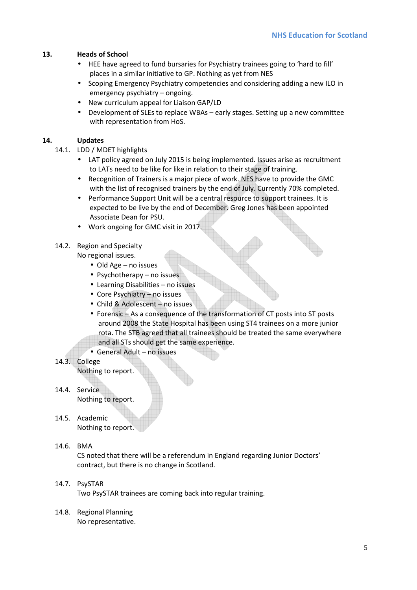# **13. Heads of School**

- HEE have agreed to fund bursaries for Psychiatry trainees going to 'hard to fill' places in a similar initiative to GP. Nothing as yet from NES
- Scoping Emergency Psychiatry competencies and considering adding a new ILO in emergency psychiatry – ongoing.
- New curriculum appeal for Liaison GAP/LD
- Development of SLEs to replace WBAs early stages. Setting up a new committee with representation from HoS.

### **14. Updates**

- 14.1. LDD / MDET highlights
	- LAT policy agreed on July 2015 is being implemented. Issues arise as recruitment to LATs need to be like for like in relation to their stage of training.
	- Recognition of Trainers is a major piece of work. NES have to provide the GMC with the list of recognised trainers by the end of July. Currently 70% completed.
	- Performance Support Unit will be a central resource to support trainees. It is expected to be live by the end of December. Greg Jones has been appointed Associate Dean for PSU.
	- Work ongoing for GMC visit in 2017.

# 14.2. Region and Specialty

#### No regional issues.

- Old Age no issues
- Psychotherapy no issues
- Learning Disabilities no issues
- Core Psychiatry no issues
- Child & Adolescent no issues
- Forensic As a consequence of the transformation of CT posts into ST posts around 2008 the State Hospital has been using ST4 trainees on a more junior rota. The STB agreed that all trainees should be treated the same everywhere and all STs should get the same experience.
- General Adult no issues
- 14.3. College Nothing to report.

14.4. Service Nothing to report.

- 14.5. Academic Nothing to report.
- 14.6. BMA

CS noted that there will be a referendum in England regarding Junior Doctors' contract, but there is no change in Scotland.

- 14.7. PsySTAR Two PsySTAR trainees are coming back into regular training.
- 14.8. Regional Planning No representative.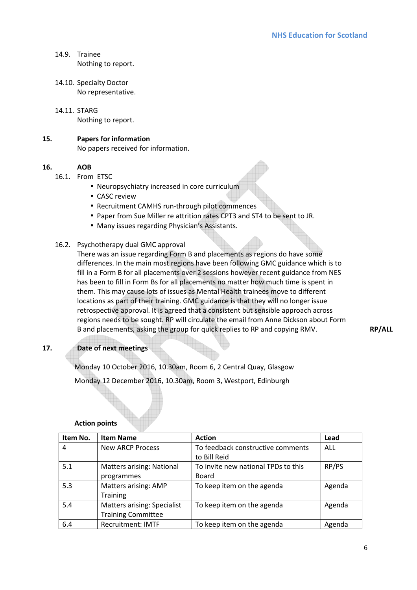- 14.9. Trainee Nothing to report.
- 14.10. Specialty Doctor No representative.
- 14.11. STARG Nothing to report.

### **15. Papers for information**

No papers received for information.

### **16. AOB**

- 16.1. From ETSC
	- Neuropsychiatry increased in core curriculum
	- CASC review
	- Recruitment CAMHS run-through pilot commences
	- Paper from Sue Miller re attrition rates CPT3 and ST4 to be sent to JR.
	- Many issues regarding Physician's Assistants.

### 16.2. Psychotherapy dual GMC approval

There was an issue regarding Form B and placements as regions do have some differences. In the main most regions have been following GMC guidance which is to fill in a Form B for all placements over 2 sessions however recent guidance from NES has been to fill in Form Bs for all placements no matter how much time is spent in them. This may cause lots of issues as Mental Health trainees move to different locations as part of their training. GMC guidance is that they will no longer issue retrospective approval. It is agreed that a consistent but sensible approach across regions needs to be sought. RP will circulate the email from Anne Dickson about Form B and placements, asking the group for quick replies to RP and copying RMV. **RP/ALL** 

# **17. Date of next meetings**

Monday 10 October 2016, 10.30am, Room 6, 2 Central Quay, Glasgow Monday 12 December 2016, 10.30am, Room 3, Westport, Edinburgh

#### **Action points**

| Item No. | <b>Item Name</b>                   | <b>Action</b>                       | Lead   |
|----------|------------------------------------|-------------------------------------|--------|
| 4        | <b>New ARCP Process</b>            | To feedback constructive comments   | ALL    |
|          |                                    | to Bill Reid                        |        |
| 5.1      | <b>Matters arising: National</b>   | To invite new national TPDs to this | RP/PS  |
|          | programmes                         | <b>Board</b>                        |        |
| 5.3      | Matters arising: AMP               | To keep item on the agenda          | Agenda |
|          | <b>Training</b>                    |                                     |        |
| 5.4      | <b>Matters arising: Specialist</b> | To keep item on the agenda          | Agenda |
|          | <b>Training Committee</b>          |                                     |        |
| 6.4      | <b>Recruitment: IMTF</b>           | To keep item on the agenda          | Agenda |